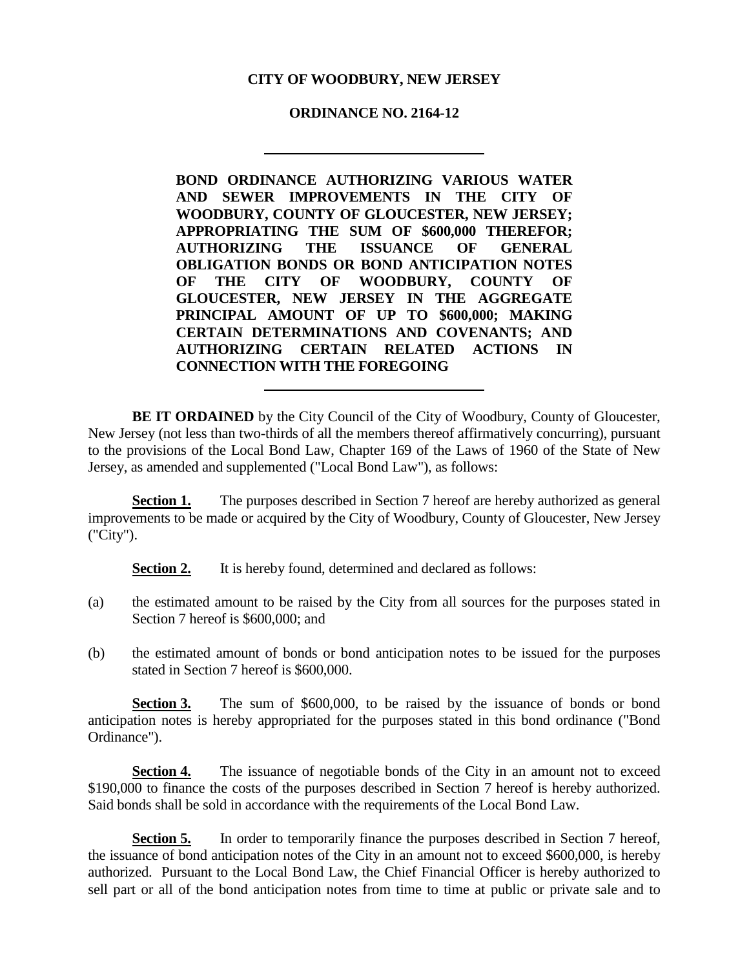## **CITY OF WOODBURY, NEW JERSEY**

## **ORDINANCE NO. 2164-12**

**BOND ORDINANCE AUTHORIZING VARIOUS WATER AND SEWER IMPROVEMENTS IN THE CITY OF WOODBURY, COUNTY OF GLOUCESTER, NEW JERSEY; APPROPRIATING THE SUM OF \$600,000 THEREFOR; AUTHORIZING THE ISSUANCE OF GENERAL OBLIGATION BONDS OR BOND ANTICIPATION NOTES OF THE CITY OF WOODBURY, COUNTY OF GLOUCESTER, NEW JERSEY IN THE AGGREGATE PRINCIPAL AMOUNT OF UP TO \$600,000; MAKING CERTAIN DETERMINATIONS AND COVENANTS; AND AUTHORIZING CERTAIN RELATED ACTIONS IN CONNECTION WITH THE FOREGOING**

**BE IT ORDAINED** by the City Council of the City of Woodbury, County of Gloucester, New Jersey (not less than two-thirds of all the members thereof affirmatively concurring), pursuant to the provisions of the Local Bond Law, Chapter 169 of the Laws of 1960 of the State of New Jersey, as amended and supplemented ("Local Bond Law"), as follows:

**Section 1.** The purposes described in Section 7 hereof are hereby authorized as general improvements to be made or acquired by the City of Woodbury, County of Gloucester, New Jersey ("City").

**Section 2.** It is hereby found, determined and declared as follows:

- (a) the estimated amount to be raised by the City from all sources for the purposes stated in Section 7 hereof is \$600,000; and
- (b) the estimated amount of bonds or bond anticipation notes to be issued for the purposes stated in Section 7 hereof is \$600,000.

**Section 3.** The sum of \$600,000, to be raised by the issuance of bonds or bond anticipation notes is hereby appropriated for the purposes stated in this bond ordinance ("Bond Ordinance").

**Section 4.** The issuance of negotiable bonds of the City in an amount not to exceed \$190,000 to finance the costs of the purposes described in Section 7 hereof is hereby authorized. Said bonds shall be sold in accordance with the requirements of the Local Bond Law.

**Section 5.** In order to temporarily finance the purposes described in Section 7 hereof, the issuance of bond anticipation notes of the City in an amount not to exceed \$600,000, is hereby authorized. Pursuant to the Local Bond Law, the Chief Financial Officer is hereby authorized to sell part or all of the bond anticipation notes from time to time at public or private sale and to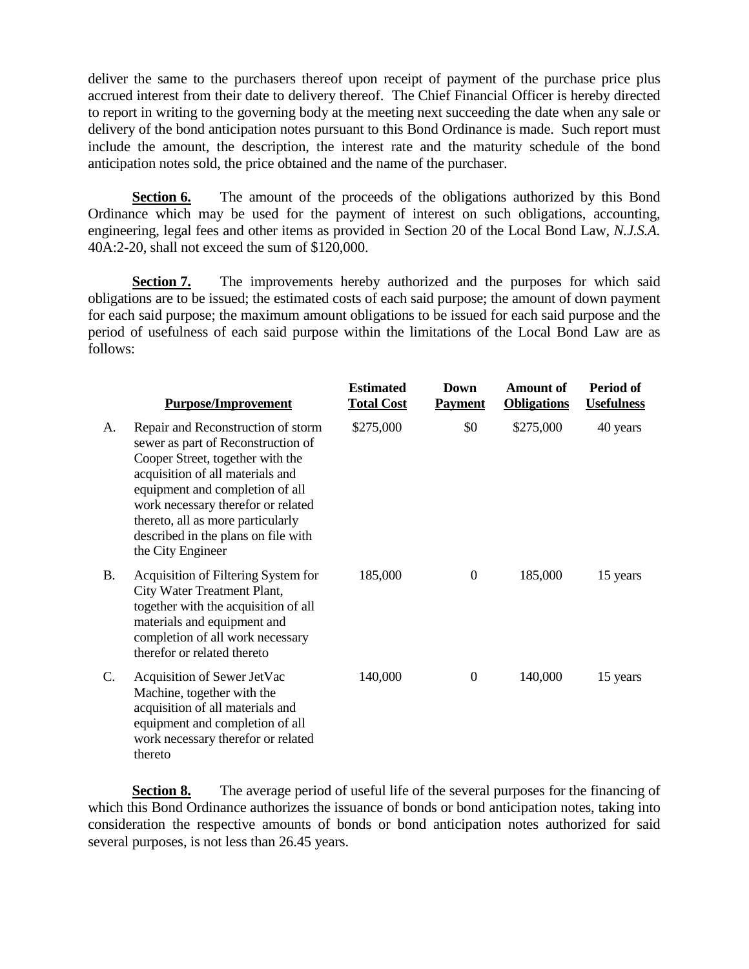deliver the same to the purchasers thereof upon receipt of payment of the purchase price plus accrued interest from their date to delivery thereof. The Chief Financial Officer is hereby directed to report in writing to the governing body at the meeting next succeeding the date when any sale or delivery of the bond anticipation notes pursuant to this Bond Ordinance is made. Such report must include the amount, the description, the interest rate and the maturity schedule of the bond anticipation notes sold, the price obtained and the name of the purchaser.

**Section 6.** The amount of the proceeds of the obligations authorized by this Bond Ordinance which may be used for the payment of interest on such obligations, accounting, engineering, legal fees and other items as provided in Section 20 of the Local Bond Law, *N.J.S.A.* 40A:2-20, shall not exceed the sum of \$120,000.

**Section 7.** The improvements hereby authorized and the purposes for which said obligations are to be issued; the estimated costs of each said purpose; the amount of down payment for each said purpose; the maximum amount obligations to be issued for each said purpose and the period of usefulness of each said purpose within the limitations of the Local Bond Law are as follows:

|           | <b>Purpose/Improvement</b>                                                                                                                                                                                                                                                                                                 | <b>Estimated</b><br><b>Total Cost</b> | Down<br><b>Payment</b> | <b>Amount of</b><br><b>Obligations</b> | Period of<br><b>Usefulness</b> |
|-----------|----------------------------------------------------------------------------------------------------------------------------------------------------------------------------------------------------------------------------------------------------------------------------------------------------------------------------|---------------------------------------|------------------------|----------------------------------------|--------------------------------|
| A.        | Repair and Reconstruction of storm<br>sewer as part of Reconstruction of<br>Cooper Street, together with the<br>acquisition of all materials and<br>equipment and completion of all<br>work necessary therefor or related<br>thereto, all as more particularly<br>described in the plans on file with<br>the City Engineer | \$275,000                             | \$0                    | \$275,000                              | 40 years                       |
| <b>B.</b> | Acquisition of Filtering System for<br>City Water Treatment Plant,<br>together with the acquisition of all<br>materials and equipment and<br>completion of all work necessary<br>therefor or related thereto                                                                                                               | 185,000                               | $\overline{0}$         | 185,000                                | 15 years                       |
| C.        | Acquisition of Sewer JetVac<br>Machine, together with the<br>acquisition of all materials and<br>equipment and completion of all<br>work necessary therefor or related<br>thereto                                                                                                                                          | 140,000                               | $\overline{0}$         | 140,000                                | 15 years                       |

**Section 8.** The average period of useful life of the several purposes for the financing of which this Bond Ordinance authorizes the issuance of bonds or bond anticipation notes, taking into consideration the respective amounts of bonds or bond anticipation notes authorized for said several purposes, is not less than 26.45 years.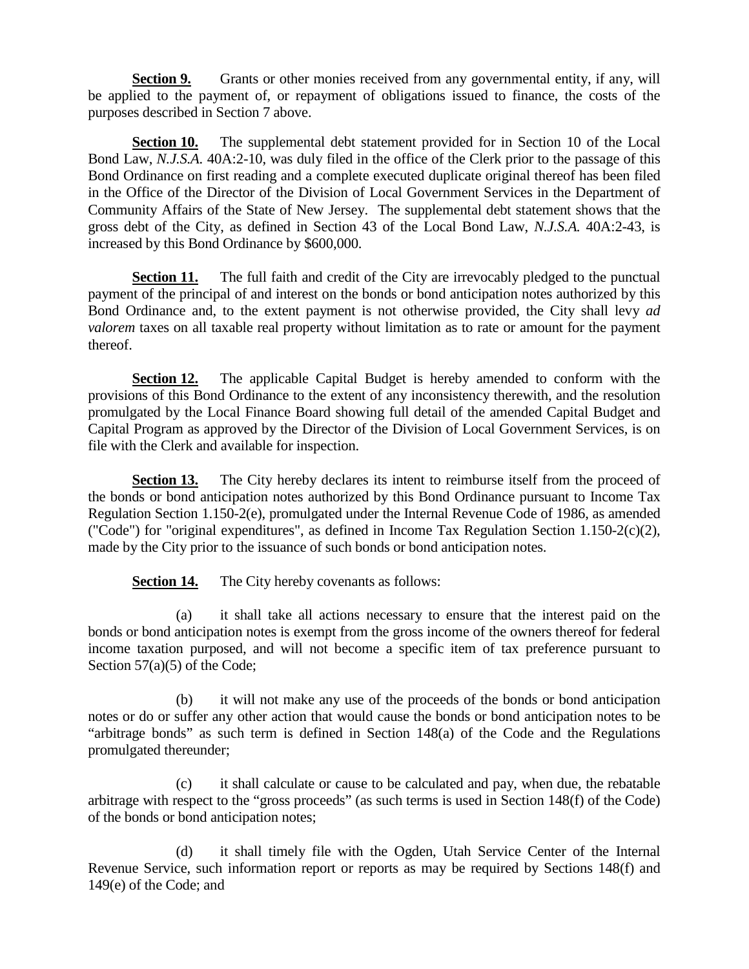**Section 9.** Grants or other monies received from any governmental entity, if any, will be applied to the payment of, or repayment of obligations issued to finance, the costs of the purposes described in Section 7 above.

**Section 10.** The supplemental debt statement provided for in Section 10 of the Local Bond Law, *N.J.S.A.* 40A:2-10, was duly filed in the office of the Clerk prior to the passage of this Bond Ordinance on first reading and a complete executed duplicate original thereof has been filed in the Office of the Director of the Division of Local Government Services in the Department of Community Affairs of the State of New Jersey. The supplemental debt statement shows that the gross debt of the City, as defined in Section 43 of the Local Bond Law, *N.J.S.A.* 40A:2-43, is increased by this Bond Ordinance by \$600,000.

**Section 11.** The full faith and credit of the City are irrevocably pledged to the punctual payment of the principal of and interest on the bonds or bond anticipation notes authorized by this Bond Ordinance and, to the extent payment is not otherwise provided, the City shall levy *ad valorem* taxes on all taxable real property without limitation as to rate or amount for the payment thereof.

**Section 12.** The applicable Capital Budget is hereby amended to conform with the provisions of this Bond Ordinance to the extent of any inconsistency therewith, and the resolution promulgated by the Local Finance Board showing full detail of the amended Capital Budget and Capital Program as approved by the Director of the Division of Local Government Services, is on file with the Clerk and available for inspection.

**Section 13.** The City hereby declares its intent to reimburse itself from the proceed of the bonds or bond anticipation notes authorized by this Bond Ordinance pursuant to Income Tax Regulation Section 1.150-2(e), promulgated under the Internal Revenue Code of 1986, as amended ("Code") for "original expenditures", as defined in Income Tax Regulation Section 1.150-2(c)(2), made by the City prior to the issuance of such bonds or bond anticipation notes.

**Section 14.** The City hereby covenants as follows:

(a) it shall take all actions necessary to ensure that the interest paid on the bonds or bond anticipation notes is exempt from the gross income of the owners thereof for federal income taxation purposed, and will not become a specific item of tax preference pursuant to Section 57(a)(5) of the Code;

(b) it will not make any use of the proceeds of the bonds or bond anticipation notes or do or suffer any other action that would cause the bonds or bond anticipation notes to be "arbitrage bonds" as such term is defined in Section 148(a) of the Code and the Regulations promulgated thereunder;

(c) it shall calculate or cause to be calculated and pay, when due, the rebatable arbitrage with respect to the "gross proceeds" (as such terms is used in Section 148(f) of the Code) of the bonds or bond anticipation notes;

(d) it shall timely file with the Ogden, Utah Service Center of the Internal Revenue Service, such information report or reports as may be required by Sections 148(f) and 149(e) of the Code; and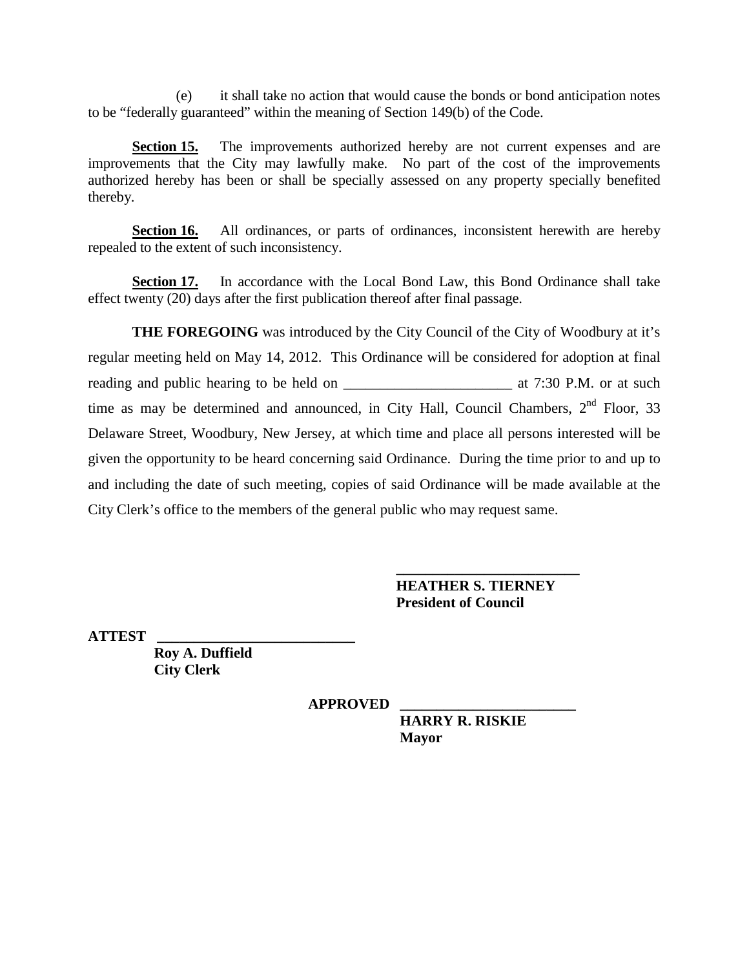(e) it shall take no action that would cause the bonds or bond anticipation notes to be "federally guaranteed" within the meaning of Section 149(b) of the Code.

**Section 15.** The improvements authorized hereby are not current expenses and are improvements that the City may lawfully make. No part of the cost of the improvements authorized hereby has been or shall be specially assessed on any property specially benefited thereby.

**Section 16.** All ordinances, or parts of ordinances, inconsistent herewith are hereby repealed to the extent of such inconsistency.

**Section 17.** In accordance with the Local Bond Law, this Bond Ordinance shall take effect twenty (20) days after the first publication thereof after final passage.

**THE FOREGOING** was introduced by the City Council of the City of Woodbury at it's regular meeting held on May 14, 2012. This Ordinance will be considered for adoption at final reading and public hearing to be held on \_\_\_\_\_\_\_\_\_\_\_\_\_\_\_\_\_\_\_\_\_\_\_ at 7:30 P.M. or at such time as may be determined and announced, in City Hall, Council Chambers,  $2<sup>nd</sup>$  Floor, 33 Delaware Street, Woodbury, New Jersey, at which time and place all persons interested will be given the opportunity to be heard concerning said Ordinance. During the time prior to and up to and including the date of such meeting, copies of said Ordinance will be made available at the City Clerk's office to the members of the general public who may request same.

> **\_\_\_\_\_\_\_\_\_\_\_\_\_\_\_\_\_\_\_\_\_\_\_\_\_ HEATHER S. TIERNEY President of Council**

**ATTEST \_\_\_\_\_\_\_\_\_\_\_\_\_\_\_\_\_\_\_\_\_\_\_\_\_\_\_**

 **Roy A. Duffield City Clerk**

**APPROVED \_\_\_\_\_\_\_\_\_\_\_\_\_\_\_\_\_\_\_\_\_\_\_\_**

**HARRY R. RISKIE Mayor**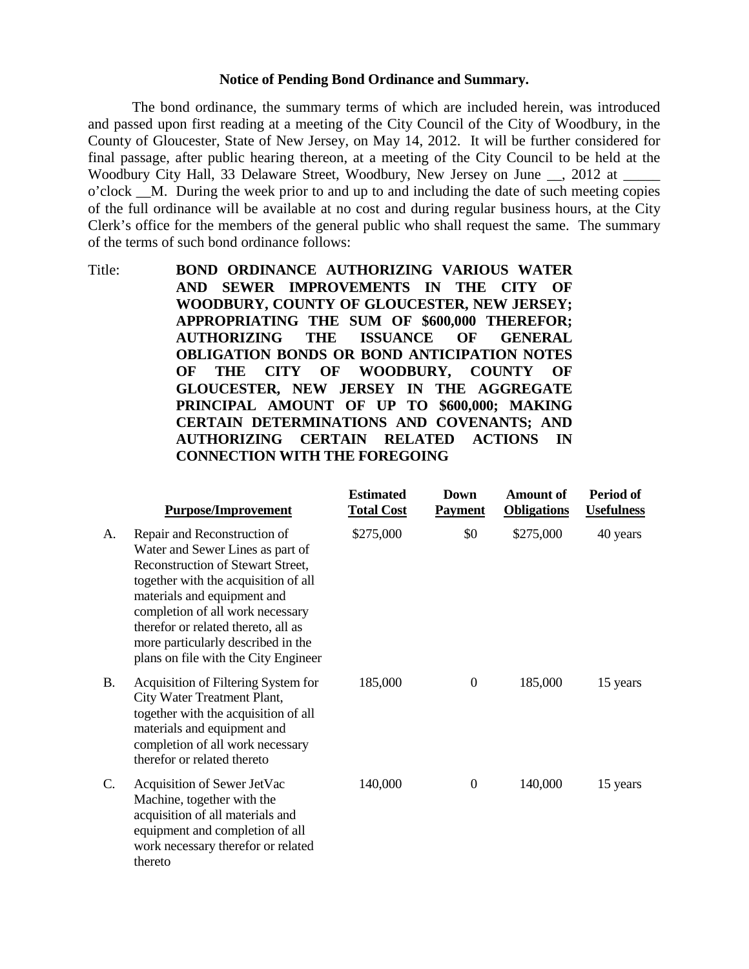### **Notice of Pending Bond Ordinance and Summary.**

The bond ordinance, the summary terms of which are included herein, was introduced and passed upon first reading at a meeting of the City Council of the City of Woodbury, in the County of Gloucester, State of New Jersey, on May 14, 2012. It will be further considered for final passage, after public hearing thereon, at a meeting of the City Council to be held at the Woodbury City Hall, 33 Delaware Street, Woodbury, New Jersey on June \_\_, 2012 at \_ o'clock \_\_M. During the week prior to and up to and including the date of such meeting copies of the full ordinance will be available at no cost and during regular business hours, at the City Clerk's office for the members of the general public who shall request the same. The summary of the terms of such bond ordinance follows:

Title: **BOND ORDINANCE AUTHORIZING VARIOUS WATER AND SEWER IMPROVEMENTS IN THE CITY OF WOODBURY, COUNTY OF GLOUCESTER, NEW JERSEY; APPROPRIATING THE SUM OF \$600,000 THEREFOR; AUTHORIZING THE ISSUANCE OF GENERAL OBLIGATION BONDS OR BOND ANTICIPATION NOTES OF THE CITY OF WOODBURY, COUNTY OF GLOUCESTER, NEW JERSEY IN THE AGGREGATE PRINCIPAL AMOUNT OF UP TO \$600,000; MAKING CERTAIN DETERMINATIONS AND COVENANTS; AND AUTHORIZING CERTAIN RELATED ACTIONS IN CONNECTION WITH THE FOREGOING**

|           | <b>Purpose/Improvement</b>                                                                                                                                                                                                                                                                                                            | <b>Estimated</b><br><b>Total Cost</b> | Down<br><b>Payment</b> | <b>Amount of</b><br><b>Obligations</b> | Period of<br><b>Usefulness</b> |
|-----------|---------------------------------------------------------------------------------------------------------------------------------------------------------------------------------------------------------------------------------------------------------------------------------------------------------------------------------------|---------------------------------------|------------------------|----------------------------------------|--------------------------------|
| A.        | Repair and Reconstruction of<br>Water and Sewer Lines as part of<br>Reconstruction of Stewart Street,<br>together with the acquisition of all<br>materials and equipment and<br>completion of all work necessary<br>therefor or related thereto, all as<br>more particularly described in the<br>plans on file with the City Engineer | \$275,000                             | \$0                    | \$275,000                              | 40 years                       |
| <b>B.</b> | Acquisition of Filtering System for<br>City Water Treatment Plant,<br>together with the acquisition of all<br>materials and equipment and<br>completion of all work necessary<br>therefor or related thereto                                                                                                                          | 185,000                               | $\theta$               | 185,000                                | 15 years                       |
| C.        | Acquisition of Sewer JetVac<br>Machine, together with the<br>acquisition of all materials and<br>equipment and completion of all<br>work necessary therefor or related<br>thereto                                                                                                                                                     | 140,000                               | $\Omega$               | 140,000                                | 15 years                       |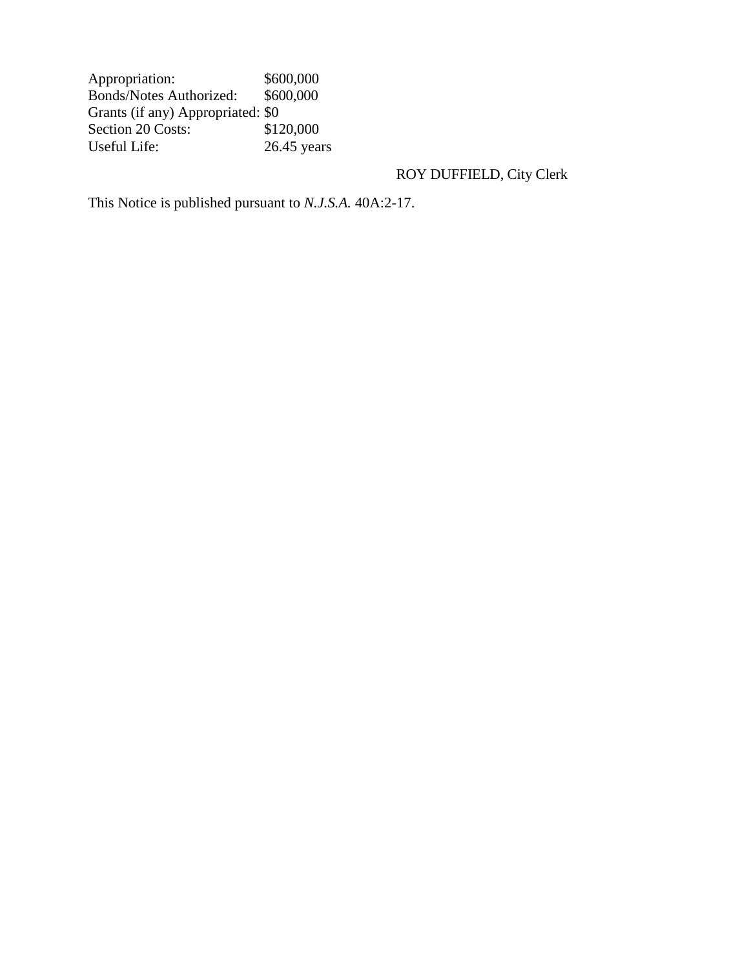Appropriation: \$600,000<br>Bonds/Notes Authorized: \$600,000 Bonds/Notes Authorized: Grants (if any) Appropriated: \$0<br>Section 20 Costs: \$120,000 Section 20 Costs:<br>Useful Life:  $26.45$  years

# ROY DUFFIELD, City Clerk

This Notice is published pursuant to *N.J.S.A.* 40A:2-17.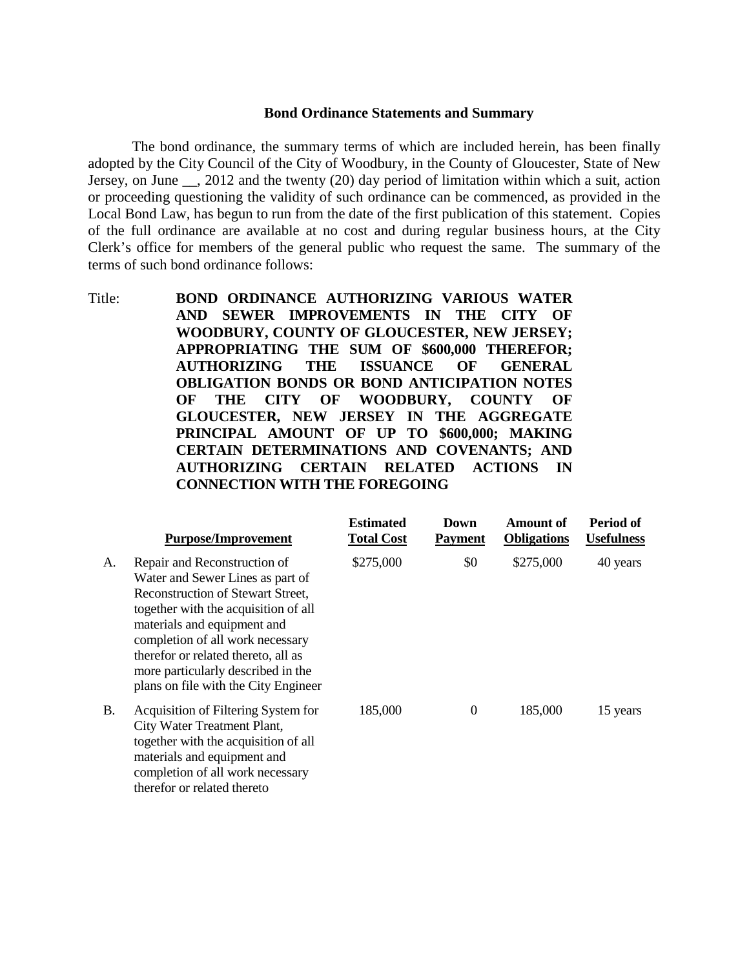#### **Bond Ordinance Statements and Summary**

The bond ordinance, the summary terms of which are included herein, has been finally adopted by the City Council of the City of Woodbury, in the County of Gloucester, State of New Jersey, on June \_\_, 2012 and the twenty (20) day period of limitation within which a suit, action or proceeding questioning the validity of such ordinance can be commenced, as provided in the Local Bond Law, has begun to run from the date of the first publication of this statement. Copies of the full ordinance are available at no cost and during regular business hours, at the City Clerk's office for members of the general public who request the same. The summary of the terms of such bond ordinance follows:

Title: **BOND ORDINANCE AUTHORIZING VARIOUS WATER AND SEWER IMPROVEMENTS IN THE CITY OF WOODBURY, COUNTY OF GLOUCESTER, NEW JERSEY; APPROPRIATING THE SUM OF \$600,000 THEREFOR; AUTHORIZING THE ISSUANCE OF GENERAL OBLIGATION BONDS OR BOND ANTICIPATION NOTES OF THE CITY OF WOODBURY, COUNTY OF GLOUCESTER, NEW JERSEY IN THE AGGREGATE PRINCIPAL AMOUNT OF UP TO \$600,000; MAKING CERTAIN DETERMINATIONS AND COVENANTS; AND AUTHORIZING CERTAIN RELATED ACTIONS IN CONNECTION WITH THE FOREGOING**

|           | <b>Purpose/Improvement</b>                                                                                                                                                                                                                                                                                                                   | <b>Estimated</b><br><b>Total Cost</b> | Down<br><b>Payment</b> | Amount of<br><b>Obligations</b> | Period of<br><b>Usefulness</b> |
|-----------|----------------------------------------------------------------------------------------------------------------------------------------------------------------------------------------------------------------------------------------------------------------------------------------------------------------------------------------------|---------------------------------------|------------------------|---------------------------------|--------------------------------|
| A.        | Repair and Reconstruction of<br>Water and Sewer Lines as part of<br><b>Reconstruction of Stewart Street,</b><br>together with the acquisition of all<br>materials and equipment and<br>completion of all work necessary<br>therefor or related thereto, all as<br>more particularly described in the<br>plans on file with the City Engineer | \$275,000                             | \$0                    | \$275,000                       | 40 years                       |
| <b>B.</b> | Acquisition of Filtering System for<br>City Water Treatment Plant,<br>together with the acquisition of all<br>materials and equipment and<br>completion of all work necessary<br>therefor or related thereto                                                                                                                                 | 185,000                               | $\theta$               | 185,000                         | 15 years                       |